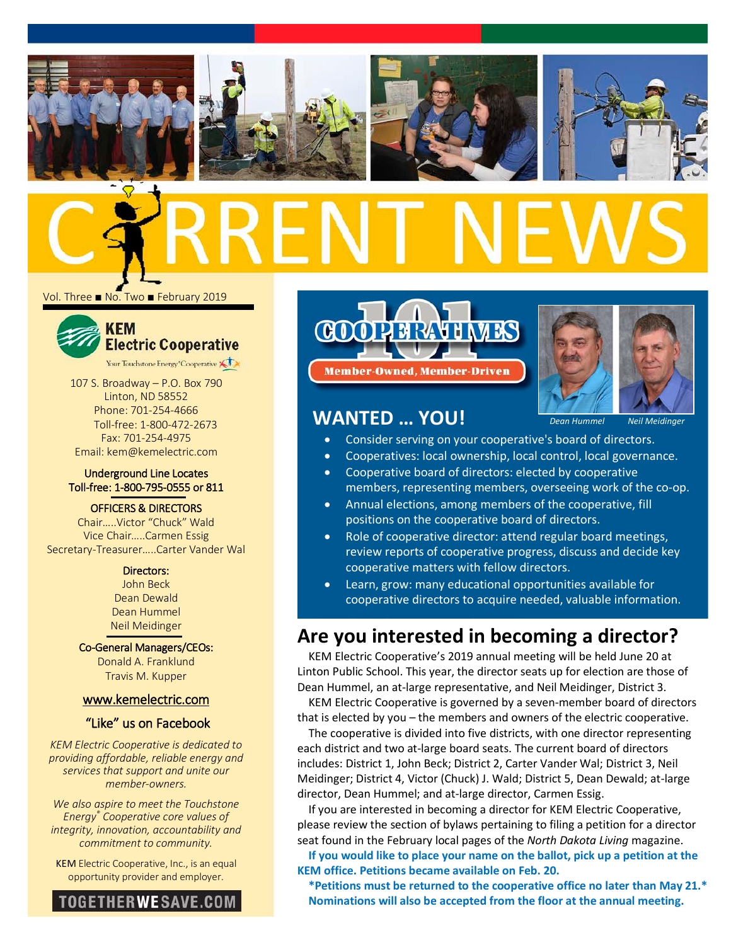







Vol. Three ■ No. Two ■ February 2019



107 S. Broadway – P.O. Box 790 Linton, ND 58552 Phone: 701-254-4666 Toll-free: 1-800-472-2673 Fax: 701-254-4975 Email: kem@kemelectric.com

### Underground Line Locates Toll-free: 1-800-795-0555 or 811

#### OFFICERS & DIRECTORS

Chair…..Victor "Chuck" Wald Vice Chair…..Carmen Essig Secretary-Treasurer…..Carter Vander Wal

> Directors: John Beck Dean Dewald

Dean Hummel Neil Meidinger

Co-General Managers/CEOs: Donald A. Franklund Travis M. Kupper

### [www.kemelectric.com](http://www.kemelectric.com/)

## "Like" us on Facebook

*KEM Electric Cooperative is dedicated to providing affordable, reliable energy and services that support and unite our member-owners.*

*We also aspire to meet the Touchstone Energy® Cooperative core values of integrity, innovation, accountability and commitment to community.*

KEM Electric Cooperative, Inc., is an equal opportunity provider and employer.



**COOPER RAVE NEWS Member-Owned, Member-Driven** 



# **WANTED … YOU!**

• Consider serving on your cooperative's board of directors.

- Cooperatives: local ownership, local control, local governance.
- Cooperative board of directors: elected by cooperative members, representing members, overseeing work of the co-op.
- Annual elections, among members of the cooperative, fill positions on the cooperative board of directors.
- Role of cooperative director: attend regular board meetings, review reports of cooperative progress, discuss and decide key cooperative matters with fellow directors.
- Learn, grow: many educational opportunities available for cooperative directors to acquire needed, valuable information.

# **Are you interested in becoming a director?**

KEM Electric Cooperative's 2019 annual meeting will be held June 20 at Linton Public School. This year, the director seats up for election are those of Dean Hummel, an at-large representative, and Neil Meidinger, District 3.

KEM Electric Cooperative is governed by a seven-member board of directors that is elected by you – the members and owners of the electric cooperative.

The cooperative is divided into five districts, with one director representing each district and two at-large board seats. The current board of directors includes: District 1, John Beck; District 2, Carter Vander Wal; District 3, Neil Meidinger; District 4, Victor (Chuck) J. Wald; District 5, Dean Dewald; at-large director, Dean Hummel; and at-large director, Carmen Essig.

If you are interested in becoming a director for KEM Electric Cooperative, please review the section of bylaws pertaining to filing a petition for a director seat found in the February local pages of the *North Dakota Living* magazine.

**If you would like to place your name on the ballot, pick up a petition at the KEM office. Petitions became available on Feb. 20.**

**\*Petitions must be returned to the cooperative office no later than May 21.\* Nominations will also be accepted from the floor at the annual meeting.**